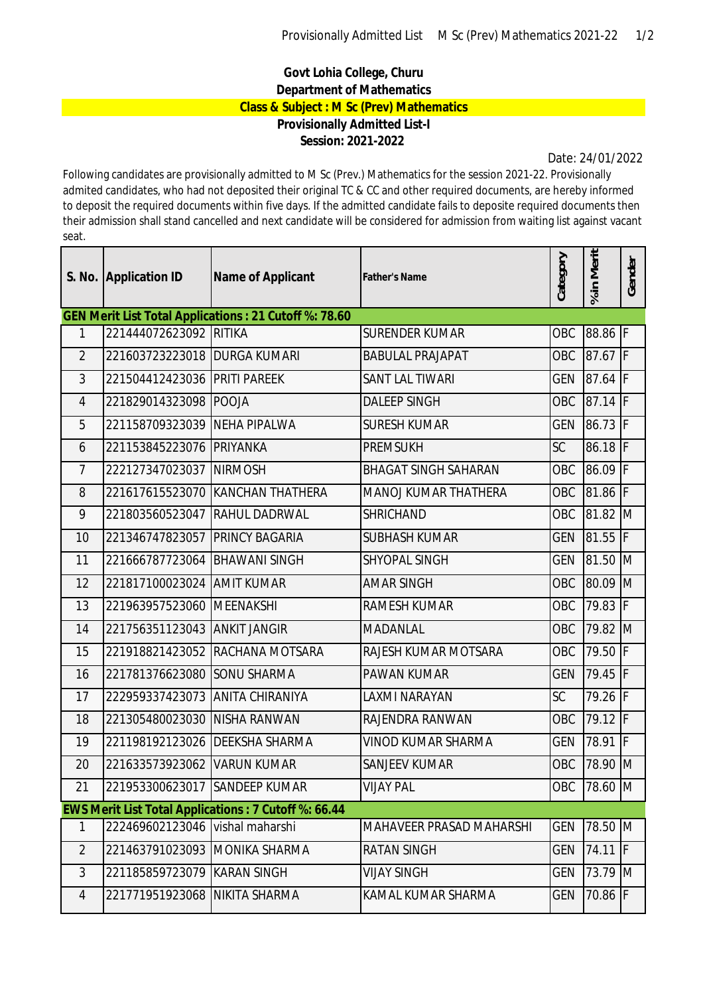## **Govt Lohia College, Churu Department of Mathematics Class & Subject : M Sc (Prev) Mathematics Provisionally Admitted List-I**

## **Session: 2021-2022**

Date: 24/01/2022

Following candidates are provisionally admitted to M Sc (Prev.) Mathematics for the session 2021-22. Provisionally admited candidates, who had not deposited their original TC & CC and other required documents, are hereby informed to deposit the required documents within five days. If the admitted candidate fails to deposite required documents then their admission shall stand cancelled and next candidate will be considered for admission from waiting list against vacant seat.

|                                                              | S. No. Application ID           | <b>Name of Applicant</b>        | <b>Father's Name</b>            | Category   | % in Merit                    | Gender |  |  |  |  |  |
|--------------------------------------------------------------|---------------------------------|---------------------------------|---------------------------------|------------|-------------------------------|--------|--|--|--|--|--|
| <b>GEN Merit List Total Applications: 21 Cutoff %: 78.60</b> |                                 |                                 |                                 |            |                               |        |  |  |  |  |  |
| 1                                                            | 221444072623092 RITIKA          |                                 | <b>SURENDER KUMAR</b>           | OBC        | 88.86 F                       |        |  |  |  |  |  |
| $\overline{2}$                                               | 221603723223018   DURGA KUMARI  |                                 | <b>BABULAL PRAJAPAT</b>         | OBC        | 87.67 F                       |        |  |  |  |  |  |
| 3                                                            | 221504412423036 PRITI PAREEK    |                                 | <b>SANT LAL TIWARI</b>          | <b>GEN</b> | 87.64 F                       |        |  |  |  |  |  |
| $\overline{4}$                                               | 221829014323098 POOJA           |                                 | <b>DALEEP SINGH</b>             | OBC        | 87.14 F                       |        |  |  |  |  |  |
| 5                                                            | 221158709323039 NEHA PIPALWA    |                                 | <b>SURESH KUMAR</b>             | <b>GEN</b> | 86.73 F                       |        |  |  |  |  |  |
| 6                                                            | 221153845223076                 | PRIYANKA                        | <b>PREMSUKH</b>                 | SC         | 86.18 F                       |        |  |  |  |  |  |
| $\overline{7}$                                               | 222127347023037                 | <b>NIRMOSH</b>                  | <b>BHAGAT SINGH SAHARAN</b>     | OBC        | 86.09 F                       |        |  |  |  |  |  |
| 8                                                            | 221617615523070                 | <b>KANCHAN THATHERA</b>         | <b>MANOJ KUMAR THATHERA</b>     | OBC        | 81.86 F                       |        |  |  |  |  |  |
| 9                                                            | 221803560523047                 | <b>RAHUL DADRWAL</b>            | <b>SHRICHAND</b>                | OBC        | 81.82                         | M      |  |  |  |  |  |
| 10                                                           | 221346747823057 PRINCY BAGARIA  |                                 | <b>SUBHASH KUMAR</b>            | <b>GEN</b> | $81.55 \overline{\mathsf{F}}$ |        |  |  |  |  |  |
| 11                                                           | 221666787723064 BHAWANI SINGH   |                                 | SHYOPAL SINGH                   | <b>GEN</b> | $81.50 \overline{\rm M}$      |        |  |  |  |  |  |
| 12                                                           | 221817100023024 AMIT KUMAR      |                                 | <b>AMAR SINGH</b>               | OBC        | 80.09                         | M      |  |  |  |  |  |
| 13                                                           | 221963957523060 MEENAKSHI       |                                 | RAMESH KUMAR                    | OBC        | 79.83 F                       |        |  |  |  |  |  |
| 14                                                           | 221756351123043                 | <b>ANKIT JANGIR</b>             | <b>MADANLAL</b>                 | OBC        | 79.82                         | M      |  |  |  |  |  |
| 15                                                           |                                 | 221918821423052 RACHANA MOTSARA | RAJESH KUMAR MOTSARA            | OBC        | 79.50 F                       |        |  |  |  |  |  |
| 16                                                           | 221781376623080 SONU SHARMA     |                                 | PAWAN KUMAR                     | <b>GEN</b> | 79.45 F                       |        |  |  |  |  |  |
| 17                                                           | 222959337423073                 | ANITA CHIRANIYA                 | LAXMI NARAYAN                   | <b>SC</b>  | 79.26 F                       |        |  |  |  |  |  |
| 18                                                           | 221305480023030 NISHA RANWAN    |                                 | RAJENDRA RANWAN                 | OBC        | 79.12 F                       |        |  |  |  |  |  |
| 19                                                           | 221198192123026 DEEKSHA SHARMA  |                                 | VINOD KUMAR SHARMA              | <b>GEN</b> | 78.91                         | IF     |  |  |  |  |  |
| 20                                                           | 221633573923062 VARUN KUMAR     |                                 | <b>SANJEEV KUMAR</b>            | OBC        | 78.90 M                       |        |  |  |  |  |  |
| 21                                                           | 221953300623017 SANDEEP KUMAR   |                                 | VIJAY PAL                       | OBC        | 78.60 M                       |        |  |  |  |  |  |
| <b>EWS Merit List Total Applications: 7 Cutoff %: 66.44</b>  |                                 |                                 |                                 |            |                               |        |  |  |  |  |  |
| $\mathbf{1}$                                                 | 222469602123046 vishal maharshi |                                 | <b>MAHAVEER PRASAD MAHARSHI</b> | <b>GEN</b> | 78.50 M                       |        |  |  |  |  |  |
| $\overline{2}$                                               | 221463791023093                 | <b>MONIKA SHARMA</b>            | <b>RATAN SINGH</b>              | <b>GEN</b> | 74.11 F                       |        |  |  |  |  |  |
| 3                                                            | 221185859723079 KARAN SINGH     |                                 | <b>VIJAY SINGH</b>              | <b>GEN</b> | 73.79 M                       |        |  |  |  |  |  |
| 4                                                            | 221771951923068                 | NIKITA SHARMA                   | KAMAL KUMAR SHARMA              | <b>GEN</b> | 70.86 F                       |        |  |  |  |  |  |